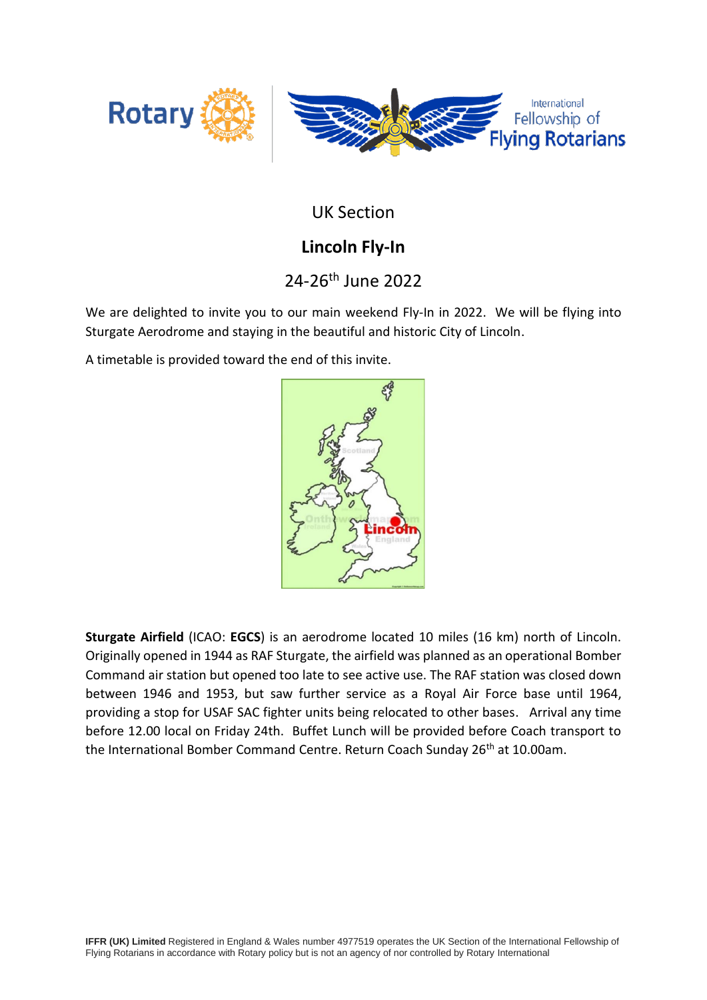

UK Section

## **Lincoln Fly-In**

# 24-26th June 2022

We are delighted to invite you to our main weekend Fly-In in 2022. We will be flying into Sturgate Aerodrome and staying in the beautiful and historic City of Lincoln.

A timetable is provided toward the end of this invite.



**Sturgate Airfield** [\(ICAO:](https://en.wikipedia.org/wiki/ICAO_airport_code) **EGCS**) is an aerodrome located 10 miles (16 km) north of Lincoln. Originally opened in 1944 as [RAF Sturgate,](https://en.wikipedia.org/wiki/RAF_Sturgate) the airfield was planned as an operational Bomber Command air station but opened too late to see active use. The RAF station was closed down between 1946 and 1953, but saw further service as a [Royal Air Force](https://en.wikipedia.org/wiki/Royal_Air_Force) base until 1964, providing a stop for [USAF](https://en.wikipedia.org/wiki/USAF) [SAC](https://en.wikipedia.org/wiki/Strategic_Air_Command) fighter units being relocated to other bases. Arrival any time before 12.00 local on Friday 24th. Buffet Lunch will be provided before Coach transport to the International Bomber Command Centre. Return Coach Sunday 26<sup>th</sup> at 10.00am.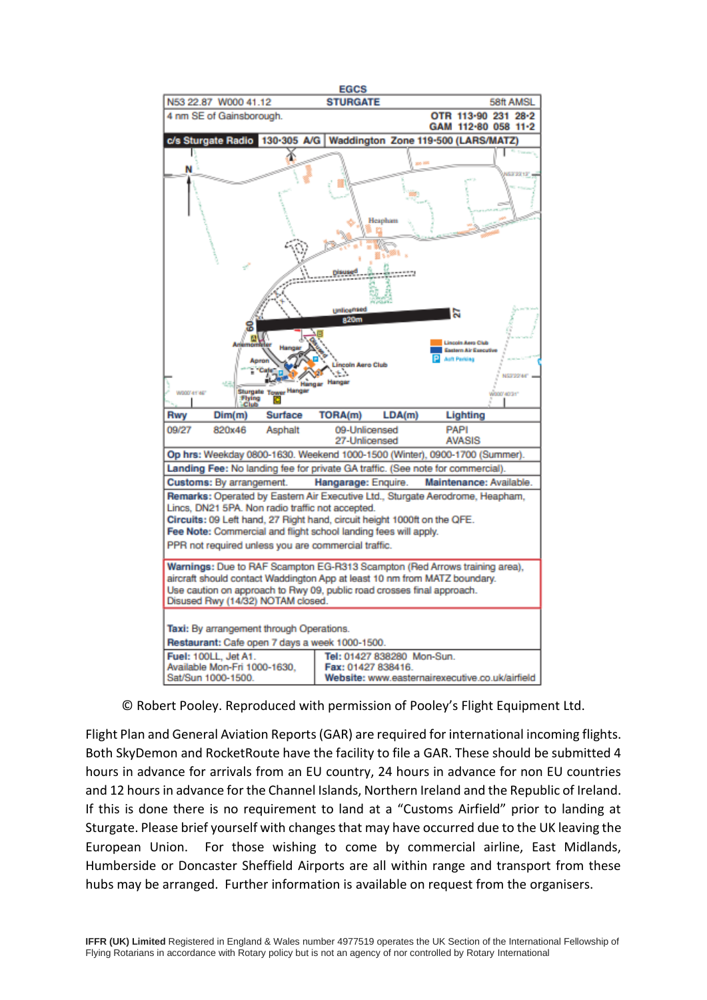

© Robert Pooley. Reproduced with permission of Pooley's Flight Equipment Ltd.

Flight Plan and General Aviation Reports (GAR) are required for international incoming flights. Both SkyDemon and RocketRoute have the facility to file a GAR. These should be submitted 4 hours in advance for arrivals from an EU country, 24 hours in advance for non EU countries and 12 hours in advance for the Channel Islands, Northern Ireland and the Republic of Ireland. If this is done there is no requirement to land at a "Customs Airfield" prior to landing at Sturgate. Please brief yourself with changes that may have occurred due to the UK leaving the European Union. For those wishing to come by commercial airline, East Midlands, Humberside or Doncaster Sheffield Airports are all within range and transport from these hubs may be arranged. Further information is available on request from the organisers.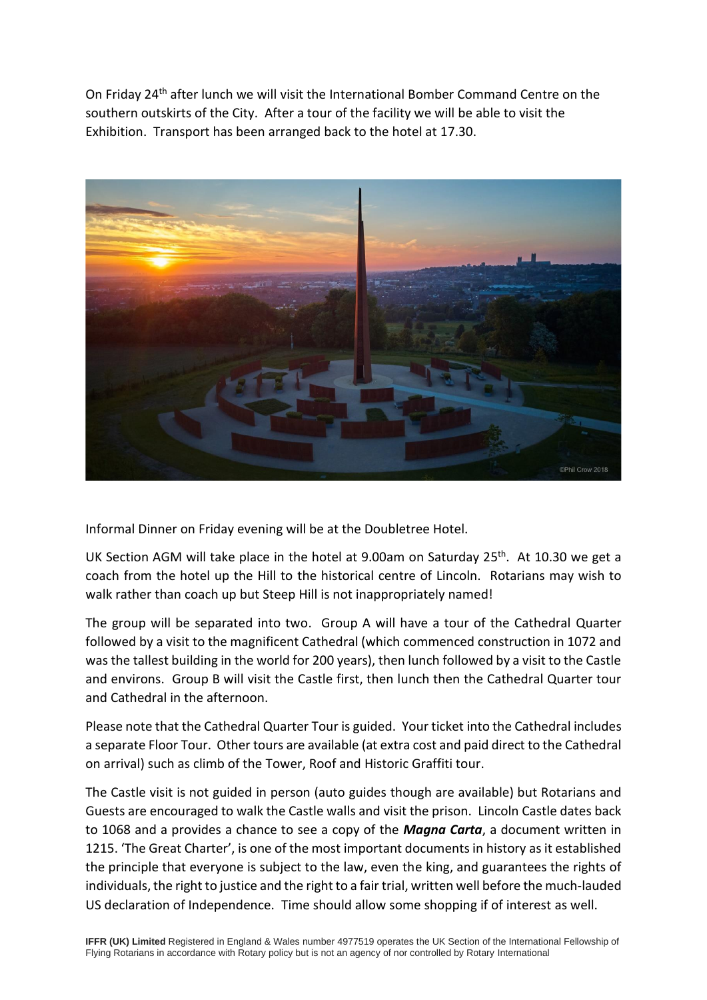On Friday 24<sup>th</sup> after lunch we will visit the International Bomber Command Centre on the southern outskirts of the City. After a tour of the facility we will be able to visit the Exhibition. Transport has been arranged back to the hotel at 17.30.



Informal Dinner on Friday evening will be at the Doubletree Hotel.

UK Section AGM will take place in the hotel at 9.00am on Saturday 25<sup>th</sup>. At 10.30 we get a coach from the hotel up the Hill to the historical centre of Lincoln. Rotarians may wish to walk rather than coach up but Steep Hill is not inappropriately named!

The group will be separated into two. Group A will have a tour of the Cathedral Quarter followed by a visit to the magnificent Cathedral (which commenced construction in 1072 and was the tallest building in the world for 200 years), then lunch followed by a visit to the Castle and environs. Group B will visit the Castle first, then lunch then the Cathedral Quarter tour and Cathedral in the afternoon.

Please note that the Cathedral Quarter Tour is guided. Your ticket into the Cathedral includes a separate Floor Tour. Other tours are available (at extra cost and paid direct to the Cathedral on arrival) such as climb of the Tower, Roof and Historic Graffiti tour.

The Castle visit is not guided in person (auto guides though are available) but Rotarians and Guests are encouraged to walk the Castle walls and visit the prison. Lincoln Castle dates back to 1068 and a provides a chance to see a copy of the *Magna Carta*, a document written in 1215. 'The Great Charter', is one of the most important documents in history as it established the principle that everyone is subject to the law, even the king, and guarantees the rights of individuals, the right to justice and the right to a fair trial, written well before the much-lauded US declaration of Independence. Time should allow some shopping if of interest as well.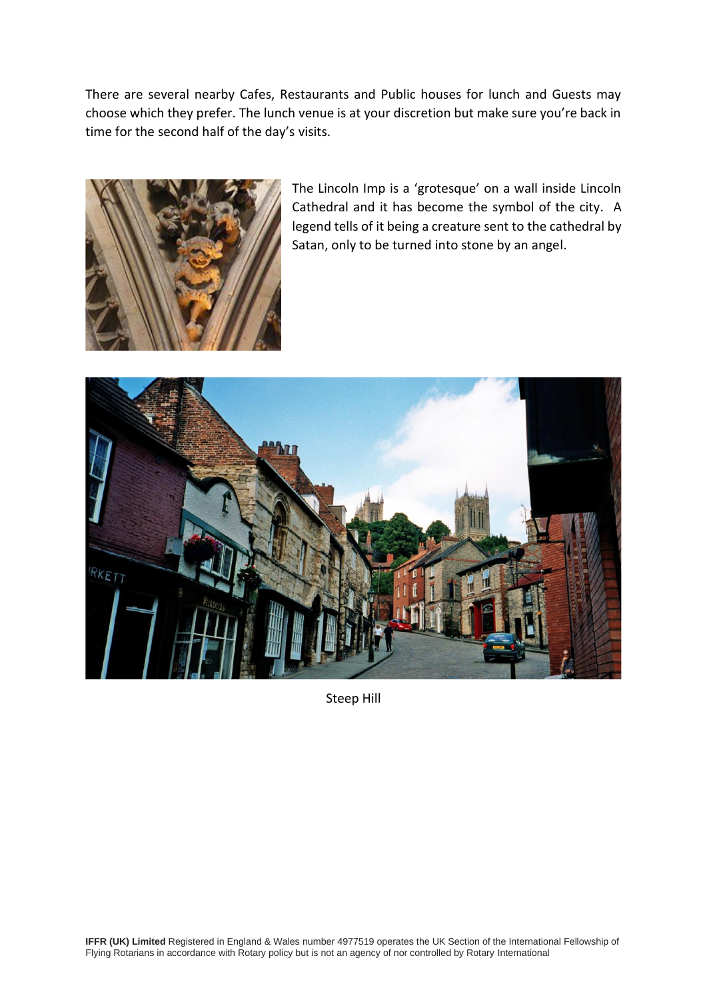There are several nearby Cafes, Restaurants and Public houses for lunch and Guests may choose which they prefer. The lunch venue is at your discretion but make sure you're back in time for the second half of the day's visits.



The Lincoln Imp is a 'grotesque' on a wall inside Lincoln Cathedral and it has become the symbol of the city. A legend tells of it being a creature sent to the cathedral by Satan, only to be turned into stone by an angel.



Steep Hill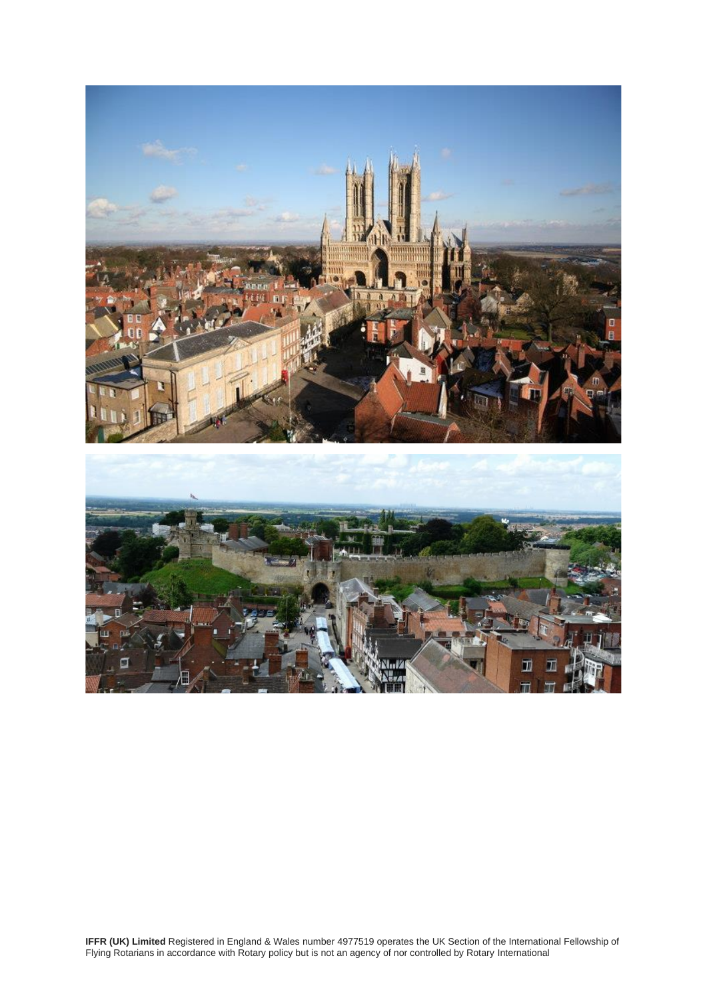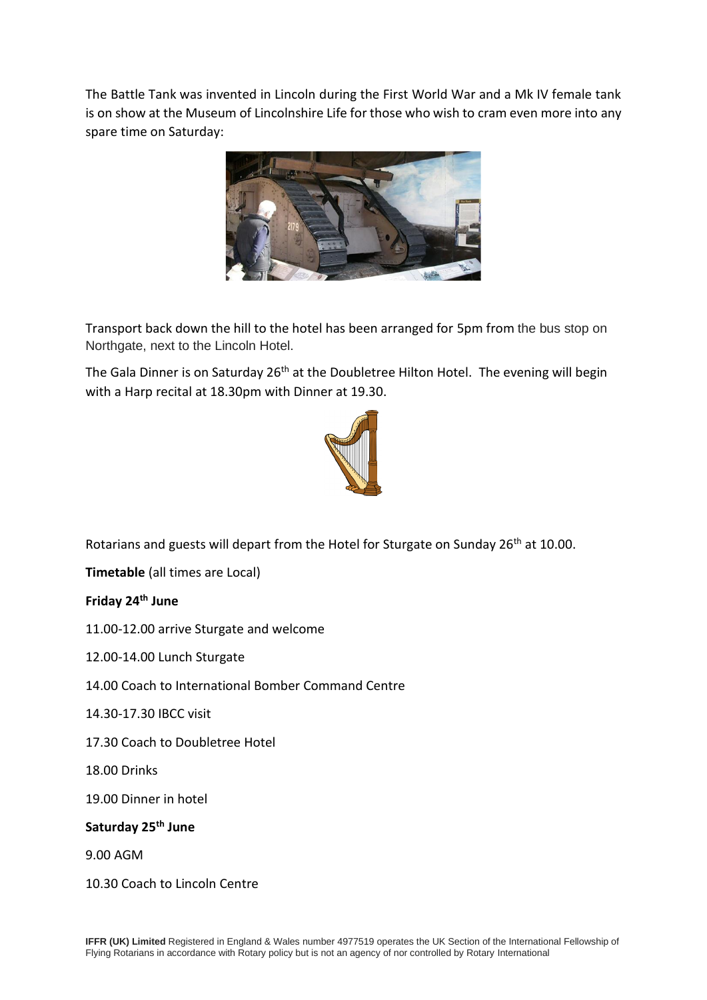The Battle Tank was invented in Lincoln during the First World War and a Mk IV female tank is on show at the Museum of Lincolnshire Life for those who wish to cram even more into any spare time on Saturday:



Transport back down the hill to the hotel has been arranged for 5pm from the bus stop on Northgate, next to the Lincoln Hotel.

The Gala Dinner is on Saturday 26<sup>th</sup> at the Doubletree Hilton Hotel. The evening will begin with a Harp recital at 18.30pm with Dinner at 19.30.



Rotarians and guests will depart from the Hotel for Sturgate on Sunday 26<sup>th</sup> at 10.00.

**Timetable** (all times are Local)

**Friday 24th June**

11.00-12.00 arrive Sturgate and welcome

12.00-14.00 Lunch Sturgate

14.00 Coach to International Bomber Command Centre

14.30-17.30 IBCC visit

17.30 Coach to Doubletree Hotel

18.00 Drinks

19.00 Dinner in hotel

#### **Saturday 25th June**

9.00 AGM

10.30 Coach to Lincoln Centre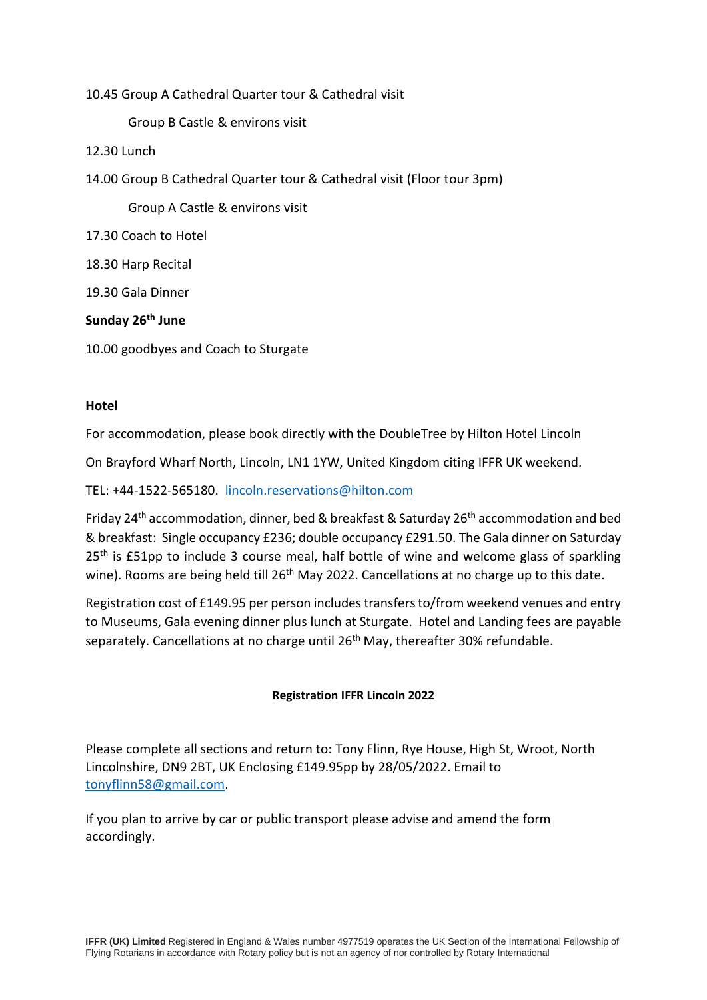10.45 Group A Cathedral Quarter tour & Cathedral visit

Group B Castle & environs visit

- 12.30 Lunch
- 14.00 Group B Cathedral Quarter tour & Cathedral visit (Floor tour 3pm)

Group A Castle & environs visit

- 17.30 Coach to Hotel
- 18.30 Harp Recital

19.30 Gala Dinner

#### **Sunday 26th June**

10.00 goodbyes and Coach to Sturgate

#### **Hotel**

For accommodation, please book directly with the DoubleTree by Hilton Hotel Lincoln

On Brayford Wharf North, Lincoln, LN1 1YW, United Kingdom citing IFFR UK weekend.

TEL: +44-1522-565180. [lincoln.reservations@hilton.com](mailto:lincoln.reservations@hilton.com)

Friday 24<sup>th</sup> accommodation, dinner, bed & breakfast & Saturday 26<sup>th</sup> accommodation and bed & breakfast: Single occupancy £236; double occupancy £291.50. The Gala dinner on Saturday 25<sup>th</sup> is £51pp to include 3 course meal, half bottle of wine and welcome glass of sparkling wine). Rooms are being held till 26<sup>th</sup> May 2022. Cancellations at no charge up to this date.

Registration cost of £149.95 per person includes transfers to/from weekend venues and entry to Museums, Gala evening dinner plus lunch at Sturgate. Hotel and Landing fees are payable separately. Cancellations at no charge until 26<sup>th</sup> May, thereafter 30% refundable.

#### **Registration IFFR Lincoln 2022**

Please complete all sections and return to: Tony Flinn, Rye House, High St, Wroot, North Lincolnshire, DN9 2BT, UK Enclosing £149.95pp by 28/05/2022. Email to [tonyflinn58@gmail.com.](mailto:tonyflinn58@gmail.com)

If you plan to arrive by car or public transport please advise and amend the form accordingly.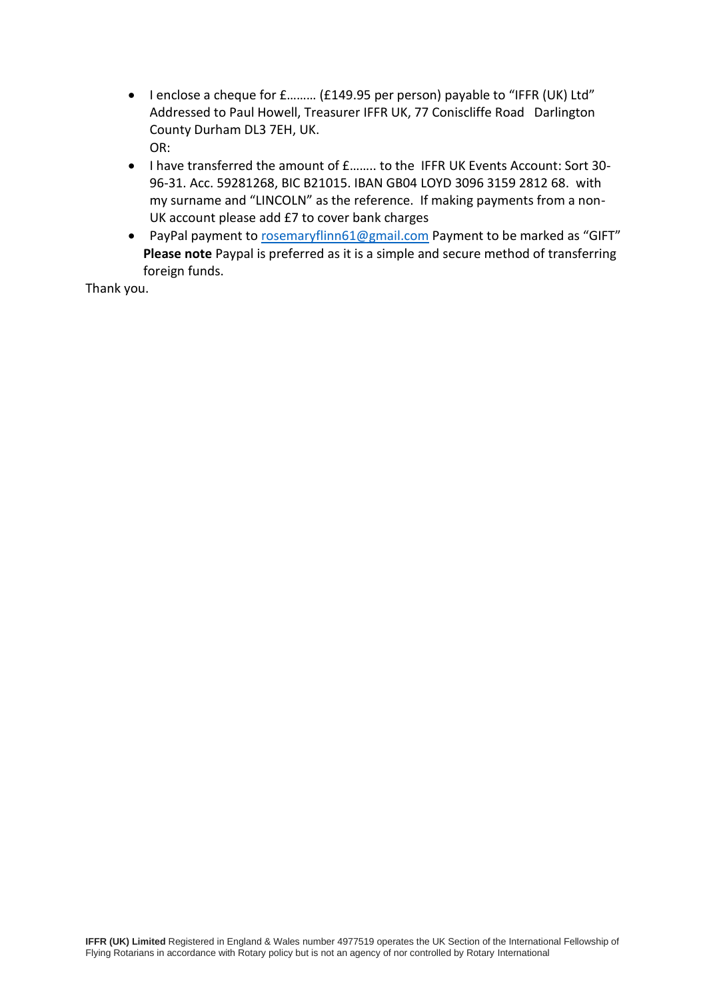- I enclose a cheque for £……… (£149.95 per person) payable to "IFFR (UK) Ltd" Addressed to Paul Howell, Treasurer IFFR UK, 77 Coniscliffe Road Darlington County Durham DL3 7EH, UK. OR:
- I have transferred the amount of £…….. to the IFFR UK Events Account: Sort 30- 96-31. Acc. 59281268, BIC B21015. IBAN GB04 LOYD 3096 3159 2812 68. with my surname and "LINCOLN" as the reference. If making payments from a non-UK account please add £7 to cover bank charges
- PayPal payment to [rosemaryflinn61@gmail.com](mailto:rosemaryflinn61@gmail.com) Payment to be marked as "GIFT" **Please note** Paypal is preferred as it is a simple and secure method of transferring foreign funds.

Thank you.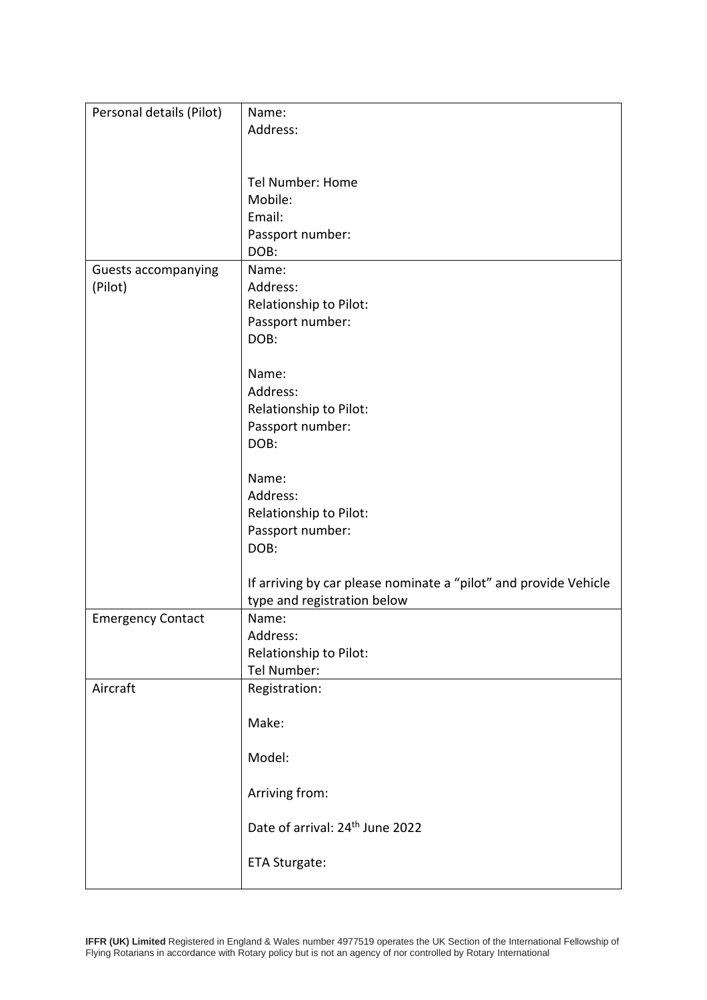| Personal details (Pilot)   | Name:                                                            |
|----------------------------|------------------------------------------------------------------|
|                            | Address:                                                         |
|                            |                                                                  |
|                            | Tel Number: Home                                                 |
|                            | Mobile:                                                          |
|                            | Email:                                                           |
|                            | Passport number:                                                 |
|                            | DOB:                                                             |
| <b>Guests accompanying</b> | Name:                                                            |
| (Pilot)                    | Address:                                                         |
|                            | Relationship to Pilot:                                           |
|                            | Passport number:                                                 |
|                            | DOB:                                                             |
|                            | Name:                                                            |
|                            | Address:                                                         |
|                            | Relationship to Pilot:                                           |
|                            | Passport number:                                                 |
|                            | DOB:                                                             |
|                            |                                                                  |
|                            | Name:                                                            |
|                            | Address:                                                         |
|                            | Relationship to Pilot:                                           |
|                            | Passport number:                                                 |
|                            | DOB:                                                             |
|                            | If arriving by car please nominate a "pilot" and provide Vehicle |
|                            | type and registration below                                      |
| <b>Emergency Contact</b>   | Name:                                                            |
|                            | Address:                                                         |
|                            | Relationship to Pilot:                                           |
|                            | Tel Number:                                                      |
| Aircraft                   | Registration:                                                    |
|                            | Make:                                                            |
|                            |                                                                  |
|                            | Model:                                                           |
|                            |                                                                  |
|                            | Arriving from:                                                   |
|                            | Date of arrival: 24 <sup>th</sup> June 2022                      |
|                            | ETA Sturgate:                                                    |
|                            |                                                                  |